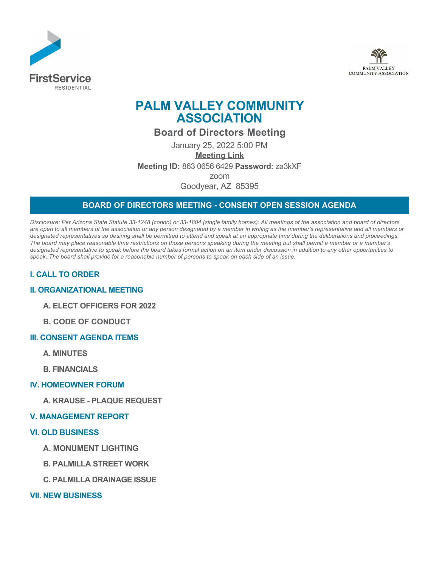



# **PALM VALLEY COMMUNITY ASSOCIATION**

## **Board of Directors Meeting**

January 25, 2022 5:00 PM **[Meeting Link](https://us05web.zoom.us/j/86306566429?pwd=MTZGS2dD) Meeting ID:** 863 0656 6429 **Password:** za3kXF zoom Goodyear, AZ 85395

## **BOARD OF DIRECTORS MEETING - CONSENT OPEN SESSION AGENDA**

*Disclosure: Per Arizona State Statute 33-1248 (condo) or 33-1804 (single family homes): All meetings of the association and board of directors are open to all members of the association or any person designated by a member in writing as the member's representative and all members or designated representatives so desiring shall be permitted to attend and speak at an appropriate time during the deliberations and proceedings. The board may place reasonable time restrictions on those persons speaking during the meeting but shall permit a member or a member's designated representative to speak before the board takes formal action on an item under discussion in addition to any other opportunities to speak. The board shall provide for a reasonable number of persons to speak on each side of an issue.* 

## **I. CALL TO ORDER**

#### **II. ORGANIZATIONAL MEETING**

- **A. ELECT OFFICERS FOR 2022**
- **B. CODE OF CONDUCT**

#### **III. CONSENT AGENDA ITEMS**

- **A. MINUTES**
- **B. FINANCIALS**

#### **IV. HOMEOWNER FORUM**

**A. KRAUSE - PLAQUE REQUEST**

#### **V. MANAGEMENT REPORT**

#### **VI. OLD BUSINESS**

- **A. MONUMENT LIGHTING**
- **B. PALMILLA STREET WORK**
- **C. PALMILLA DRAINAGE ISSUE**
- **VII. NEW BUSINESS**